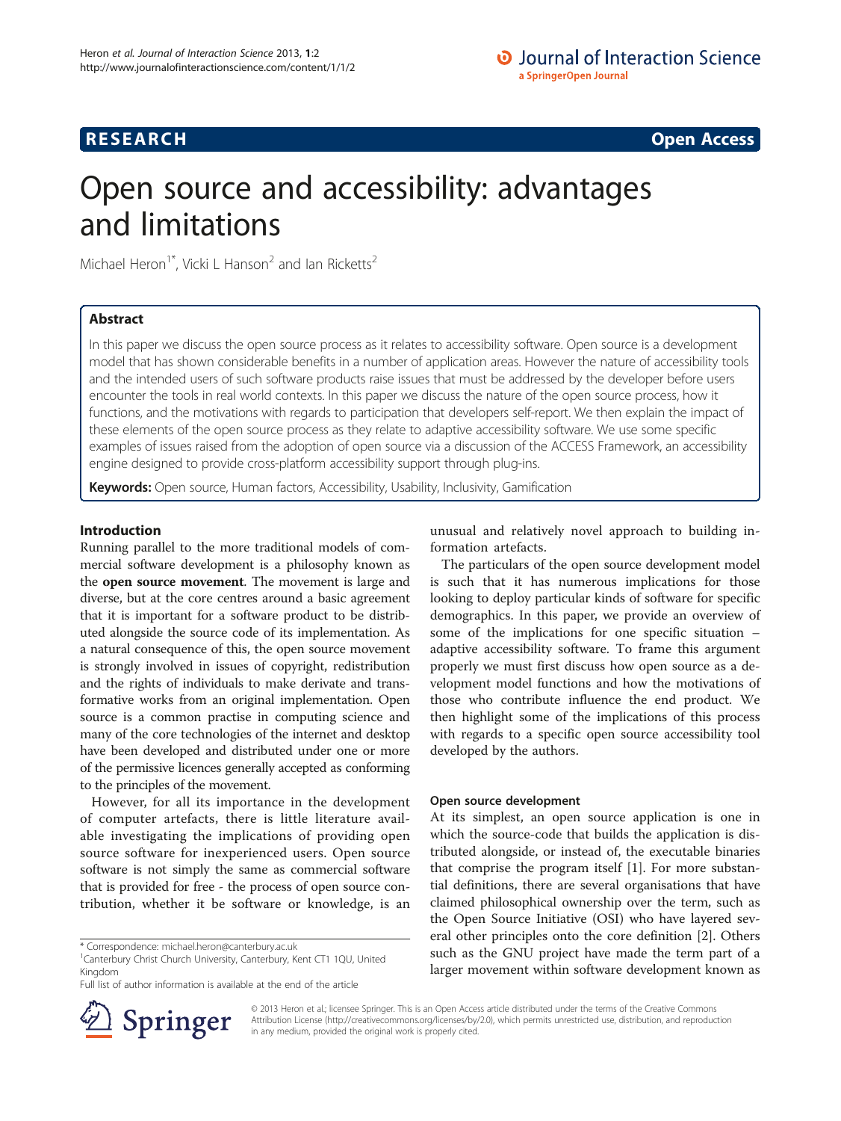**RESEARCH RESEARCH** *CHECKER CHECKER CHECKER CHECKER CHECKER CHECKER CHECKER CHECKER CHECKER CHECKER CHECKER* 

# Open source and accessibility: advantages and limitations

Michael Heron<sup>1\*</sup>, Vicki L Hanson<sup>2</sup> and Ian Ricketts<sup>2</sup>

# Abstract

In this paper we discuss the open source process as it relates to accessibility software. Open source is a development model that has shown considerable benefits in a number of application areas. However the nature of accessibility tools and the intended users of such software products raise issues that must be addressed by the developer before users encounter the tools in real world contexts. In this paper we discuss the nature of the open source process, how it functions, and the motivations with regards to participation that developers self-report. We then explain the impact of these elements of the open source process as they relate to adaptive accessibility software. We use some specific examples of issues raised from the adoption of open source via a discussion of the ACCESS Framework, an accessibility engine designed to provide cross-platform accessibility support through plug-ins.

Keywords: Open source, Human factors, Accessibility, Usability, Inclusivity, Gamification

# Introduction

Running parallel to the more traditional models of commercial software development is a philosophy known as the open source movement. The movement is large and diverse, but at the core centres around a basic agreement that it is important for a software product to be distributed alongside the source code of its implementation. As a natural consequence of this, the open source movement is strongly involved in issues of copyright, redistribution and the rights of individuals to make derivate and transformative works from an original implementation. Open source is a common practise in computing science and many of the core technologies of the internet and desktop have been developed and distributed under one or more of the permissive licences generally accepted as conforming to the principles of the movement.

However, for all its importance in the development of computer artefacts, there is little literature available investigating the implications of providing open source software for inexperienced users. Open source software is not simply the same as commercial software that is provided for free - the process of open source contribution, whether it be software or knowledge, is an

Full list of author information is available at the end of the article



unusual and relatively novel approach to building information artefacts.

The particulars of the open source development model is such that it has numerous implications for those looking to deploy particular kinds of software for specific demographics. In this paper, we provide an overview of some of the implications for one specific situation – adaptive accessibility software. To frame this argument properly we must first discuss how open source as a development model functions and how the motivations of those who contribute influence the end product. We then highlight some of the implications of this process with regards to a specific open source accessibility tool developed by the authors.

#### Open source development

At its simplest, an open source application is one in which the source-code that builds the application is distributed alongside, or instead of, the executable binaries that comprise the program itself [\[1](#page-8-0)]. For more substantial definitions, there are several organisations that have claimed philosophical ownership over the term, such as the Open Source Initiative (OSI) who have layered several other principles onto the core definition [[2\]](#page-8-0). Others such as the GNU project have made the term part of a larger movement within software development known as

© 2013 Heron et al.; licensee Springer. This is an Open Access article distributed under the terms of the Creative Commons Attribution License [\(http://creativecommons.org/licenses/by/2.0\)](http://creativecommons.org/licenses/by/2.0), which permits unrestricted use, distribution, and reproduction in any medium, provided the original work is properly cited.

<sup>\*</sup> Correspondence: [michael.heron@canterbury.ac.uk](mailto:michael.heron@canterbury.ac.uk) <sup>1</sup>

<sup>&</sup>lt;sup>1</sup>Canterbury Christ Church University, Canterbury, Kent CT1 1QU, United Kingdom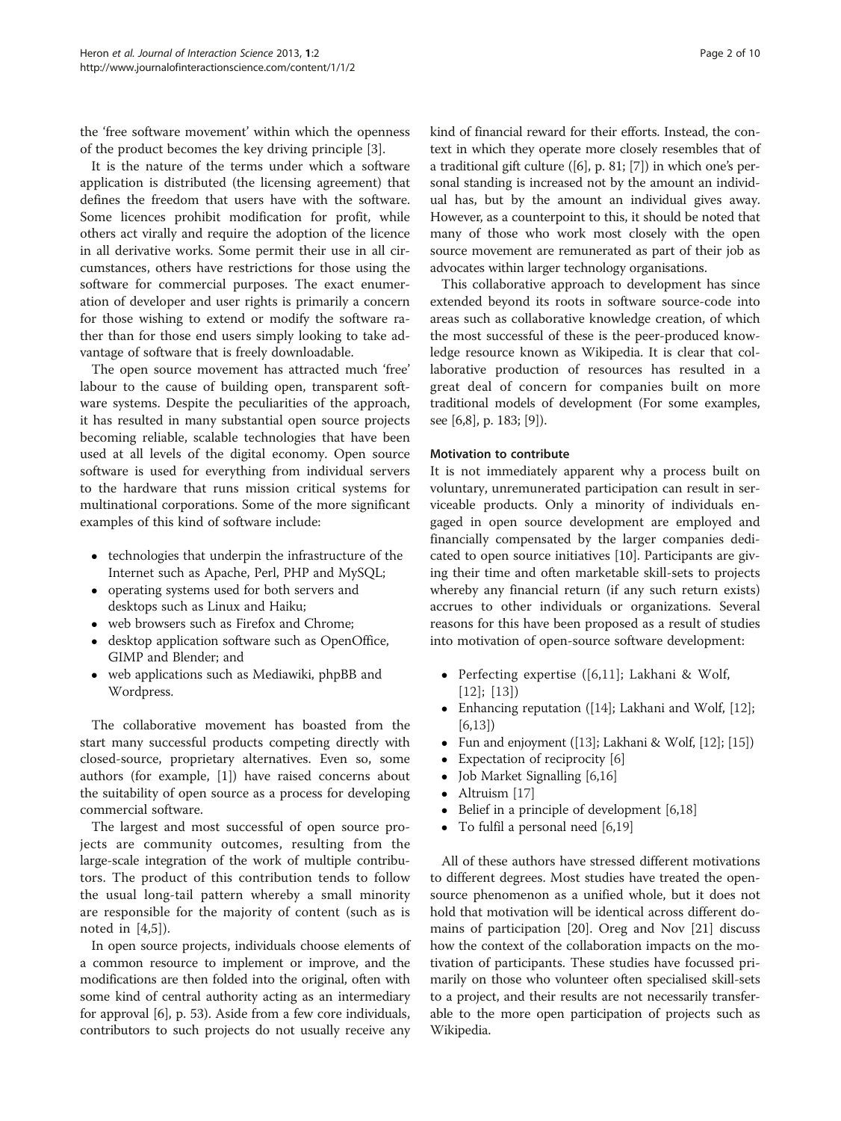the 'free software movement' within which the openness of the product becomes the key driving principle [[3\]](#page-8-0).

It is the nature of the terms under which a software application is distributed (the licensing agreement) that defines the freedom that users have with the software. Some licences prohibit modification for profit, while others act virally and require the adoption of the licence in all derivative works. Some permit their use in all circumstances, others have restrictions for those using the software for commercial purposes. The exact enumeration of developer and user rights is primarily a concern for those wishing to extend or modify the software rather than for those end users simply looking to take advantage of software that is freely downloadable.

The open source movement has attracted much 'free' labour to the cause of building open, transparent software systems. Despite the peculiarities of the approach, it has resulted in many substantial open source projects becoming reliable, scalable technologies that have been used at all levels of the digital economy. Open source software is used for everything from individual servers to the hardware that runs mission critical systems for multinational corporations. Some of the more significant examples of this kind of software include:

- technologies that underpin the infrastructure of the Internet such as Apache, Perl, PHP and MySQL;
- operating systems used for both servers and desktops such as Linux and Haiku;
- web browsers such as Firefox and Chrome;
- desktop application software such as OpenOffice, GIMP and Blender; and
- web applications such as Mediawiki, phpBB and Wordpress.

The collaborative movement has boasted from the start many successful products competing directly with closed-source, proprietary alternatives. Even so, some authors (for example, [[1\]](#page-8-0)) have raised concerns about the suitability of open source as a process for developing commercial software.

The largest and most successful of open source projects are community outcomes, resulting from the large-scale integration of the work of multiple contributors. The product of this contribution tends to follow the usual long-tail pattern whereby a small minority are responsible for the majority of content (such as is noted in [[4,5\]](#page-8-0)).

In open source projects, individuals choose elements of a common resource to implement or improve, and the modifications are then folded into the original, often with some kind of central authority acting as an intermediary for approval [[6](#page-8-0)], p. 53). Aside from a few core individuals, contributors to such projects do not usually receive any kind of financial reward for their efforts. Instead, the context in which they operate more closely resembles that of a traditional gift culture ([[6](#page-8-0)], p. 81; [[7\]](#page-8-0)) in which one's personal standing is increased not by the amount an individual has, but by the amount an individual gives away. However, as a counterpoint to this, it should be noted that many of those who work most closely with the open source movement are remunerated as part of their job as advocates within larger technology organisations.

This collaborative approach to development has since extended beyond its roots in software source-code into areas such as collaborative knowledge creation, of which the most successful of these is the peer-produced knowledge resource known as Wikipedia. It is clear that collaborative production of resources has resulted in a great deal of concern for companies built on more traditional models of development (For some examples, see [[6,8](#page-8-0)], p. 183; [\[9](#page-8-0)]).

#### Motivation to contribute

It is not immediately apparent why a process built on voluntary, unremunerated participation can result in serviceable products. Only a minority of individuals engaged in open source development are employed and financially compensated by the larger companies dedicated to open source initiatives [\[10](#page-8-0)]. Participants are giving their time and often marketable skill-sets to projects whereby any financial return (if any such return exists) accrues to other individuals or organizations. Several reasons for this have been proposed as a result of studies into motivation of open-source software development:

- Perfecting expertise ([[6,11](#page-8-0)]; Lakhani & Wolf, [[12](#page-8-0)]; [[13](#page-8-0)])
- Enhancing reputation ([\[14\]](#page-8-0); Lakhani and Wolf, [[12\]](#page-8-0); [[6,13](#page-8-0)])
- Fun and enjoyment ([\[13](#page-8-0)]; Lakhani & Wolf, [\[12\]](#page-8-0); [[15](#page-8-0)])
- Expectation of reciprocity [\[6\]](#page-8-0)
- Job Market Signalling [[6,16](#page-8-0)]
- Altruism [\[17](#page-8-0)]
- Belief in a principle of development [\[6,18\]](#page-8-0)
- To fulfil a personal need [\[6,19\]](#page-8-0)

All of these authors have stressed different motivations to different degrees. Most studies have treated the opensource phenomenon as a unified whole, but it does not hold that motivation will be identical across different domains of participation [[20\]](#page-8-0). Oreg and Nov [\[21](#page-8-0)] discuss how the context of the collaboration impacts on the motivation of participants. These studies have focussed primarily on those who volunteer often specialised skill-sets to a project, and their results are not necessarily transferable to the more open participation of projects such as Wikipedia.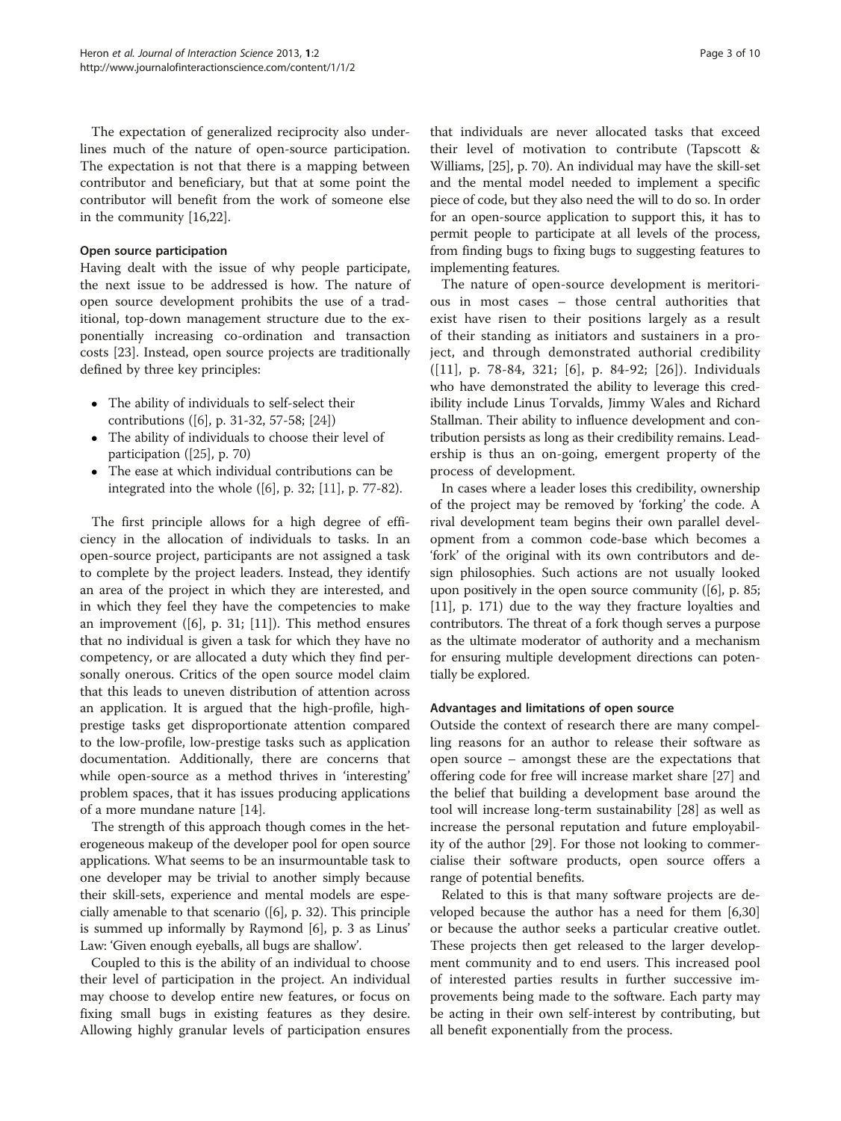The expectation of generalized reciprocity also underlines much of the nature of open-source participation. The expectation is not that there is a mapping between contributor and beneficiary, but that at some point the contributor will benefit from the work of someone else in the community [\[16](#page-8-0)[,22](#page-9-0)].

### Open source participation

Having dealt with the issue of why people participate, the next issue to be addressed is how. The nature of open source development prohibits the use of a traditional, top-down management structure due to the exponentially increasing co-ordination and transaction costs [\[23](#page-9-0)]. Instead, open source projects are traditionally defined by three key principles:

- The ability of individuals to self-select their contributions ([[6\]](#page-8-0), p. 31-32, 57-58; [\[24\]](#page-9-0))
- The ability of individuals to choose their level of participation ([[25](#page-9-0)], p. 70)
- The ease at which individual contributions can be integrated into the whole ([[6\]](#page-8-0), p. 32; [[11\]](#page-8-0), p. 77-82).

The first principle allows for a high degree of efficiency in the allocation of individuals to tasks. In an open-source project, participants are not assigned a task to complete by the project leaders. Instead, they identify an area of the project in which they are interested, and in which they feel they have the competencies to make an improvement ([[6](#page-8-0)], p. 31; [\[11\]](#page-8-0)). This method ensures that no individual is given a task for which they have no competency, or are allocated a duty which they find personally onerous. Critics of the open source model claim that this leads to uneven distribution of attention across an application. It is argued that the high-profile, highprestige tasks get disproportionate attention compared to the low-profile, low-prestige tasks such as application documentation. Additionally, there are concerns that while open-source as a method thrives in 'interesting' problem spaces, that it has issues producing applications of a more mundane nature [\[14\]](#page-8-0).

The strength of this approach though comes in the heterogeneous makeup of the developer pool for open source applications. What seems to be an insurmountable task to one developer may be trivial to another simply because their skill-sets, experience and mental models are especially amenable to that scenario ([\[6](#page-8-0)], p. 32). This principle is summed up informally by Raymond [\[6](#page-8-0)], p. 3 as Linus' Law: 'Given enough eyeballs, all bugs are shallow'.

Coupled to this is the ability of an individual to choose their level of participation in the project. An individual may choose to develop entire new features, or focus on fixing small bugs in existing features as they desire. Allowing highly granular levels of participation ensures

that individuals are never allocated tasks that exceed their level of motivation to contribute (Tapscott & Williams, [[25](#page-9-0)], p. 70). An individual may have the skill-set and the mental model needed to implement a specific piece of code, but they also need the will to do so. In order for an open-source application to support this, it has to permit people to participate at all levels of the process, from finding bugs to fixing bugs to suggesting features to implementing features.

The nature of open-source development is meritorious in most cases – those central authorities that exist have risen to their positions largely as a result of their standing as initiators and sustainers in a project, and through demonstrated authorial credibility ([\[11\]](#page-8-0), p. 78-84, 321; [\[6\]](#page-8-0), p. 84-92; [\[26\]](#page-9-0)). Individuals who have demonstrated the ability to leverage this credibility include Linus Torvalds, Jimmy Wales and Richard Stallman. Their ability to influence development and contribution persists as long as their credibility remains. Leadership is thus an on-going, emergent property of the process of development.

In cases where a leader loses this credibility, ownership of the project may be removed by 'forking' the code. A rival development team begins their own parallel development from a common code-base which becomes a 'fork' of the original with its own contributors and design philosophies. Such actions are not usually looked upon positively in the open source community ([\[6](#page-8-0)], p. 85; [[11](#page-8-0)], p. 171) due to the way they fracture loyalties and contributors. The threat of a fork though serves a purpose as the ultimate moderator of authority and a mechanism for ensuring multiple development directions can potentially be explored.

#### Advantages and limitations of open source

Outside the context of research there are many compelling reasons for an author to release their software as open source – amongst these are the expectations that offering code for free will increase market share [[27](#page-9-0)] and the belief that building a development base around the tool will increase long-term sustainability [\[28](#page-9-0)] as well as increase the personal reputation and future employability of the author [[29\]](#page-9-0). For those not looking to commercialise their software products, open source offers a range of potential benefits.

Related to this is that many software projects are developed because the author has a need for them [[6](#page-8-0),[30](#page-9-0)] or because the author seeks a particular creative outlet. These projects then get released to the larger development community and to end users. This increased pool of interested parties results in further successive improvements being made to the software. Each party may be acting in their own self-interest by contributing, but all benefit exponentially from the process.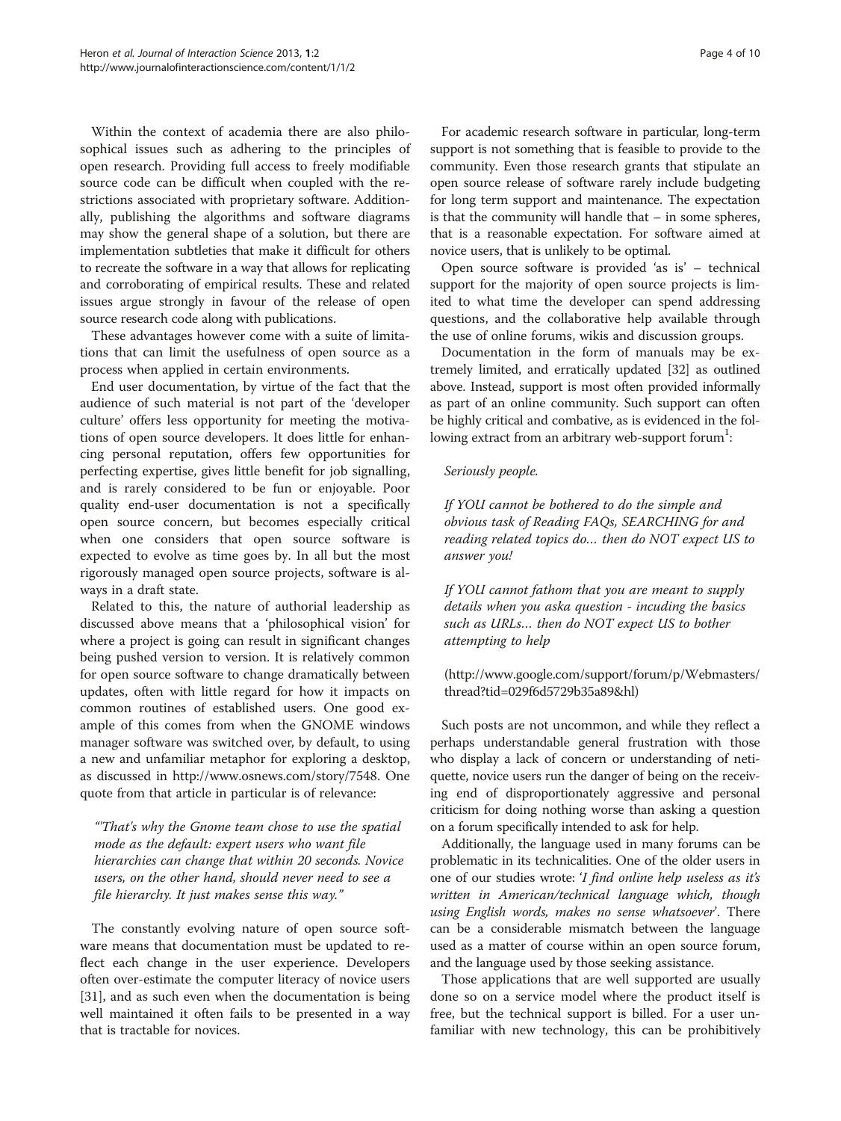Within the context of academia there are also philosophical issues such as adhering to the principles of open research. Providing full access to freely modifiable source code can be difficult when coupled with the restrictions associated with proprietary software. Additionally, publishing the algorithms and software diagrams may show the general shape of a solution, but there are implementation subtleties that make it difficult for others to recreate the software in a way that allows for replicating and corroborating of empirical results. These and related issues argue strongly in favour of the release of open source research code along with publications.

These advantages however come with a suite of limitations that can limit the usefulness of open source as a process when applied in certain environments.

End user documentation, by virtue of the fact that the audience of such material is not part of the 'developer culture' offers less opportunity for meeting the motivations of open source developers. It does little for enhancing personal reputation, offers few opportunities for perfecting expertise, gives little benefit for job signalling, and is rarely considered to be fun or enjoyable. Poor quality end-user documentation is not a specifically open source concern, but becomes especially critical when one considers that open source software is expected to evolve as time goes by. In all but the most rigorously managed open source projects, software is always in a draft state.

Related to this, the nature of authorial leadership as discussed above means that a 'philosophical vision' for where a project is going can result in significant changes being pushed version to version. It is relatively common for open source software to change dramatically between updates, often with little regard for how it impacts on common routines of established users. One good example of this comes from when the GNOME windows manager software was switched over, by default, to using a new and unfamiliar metaphor for exploring a desktop, as discussed in<http://www.osnews.com/story/7548>. One quote from that article in particular is of relevance:

"'That's why the Gnome team chose to use the spatial mode as the default: expert users who want file hierarchies can change that within 20 seconds. Novice users, on the other hand, should never need to see a file hierarchy. It just makes sense this way."

The constantly evolving nature of open source software means that documentation must be updated to reflect each change in the user experience. Developers often over-estimate the computer literacy of novice users [[31\]](#page-9-0), and as such even when the documentation is being well maintained it often fails to be presented in a way that is tractable for novices.

For academic research software in particular, long-term support is not something that is feasible to provide to the community. Even those research grants that stipulate an open source release of software rarely include budgeting for long term support and maintenance. The expectation is that the community will handle that – in some spheres, that is a reasonable expectation. For software aimed at novice users, that is unlikely to be optimal.

Open source software is provided 'as is' – technical support for the majority of open source projects is limited to what time the developer can spend addressing questions, and the collaborative help available through the use of online forums, wikis and discussion groups.

Documentation in the form of manuals may be extremely limited, and erratically updated [\[32\]](#page-9-0) as outlined above. Instead, support is most often provided informally as part of an online community. Such support can often be highly critical and combative, as is evidenced in the following extract from an arbitrary web-support forum<sup>1</sup>:

# Seriously people.

If YOU cannot be bothered to do the simple and obvious task of Reading FAQs, SEARCHING for and reading related topics do… then do NOT expect US to answer you!

If YOU cannot fathom that you are meant to supply details when you aska question - incuding the basics such as URLs… then do NOT expect US to bother attempting to help

([http://www.google.com/support/forum/p/Webmasters/](http://www.google.com/support/forum/p/Webmasters/thread?tid=029f6d5729b35a89&hl) [thread?tid=029f6d5729b35a89&hl\)](http://www.google.com/support/forum/p/Webmasters/thread?tid=029f6d5729b35a89&hl)

Such posts are not uncommon, and while they reflect a perhaps understandable general frustration with those who display a lack of concern or understanding of netiquette, novice users run the danger of being on the receiving end of disproportionately aggressive and personal criticism for doing nothing worse than asking a question on a forum specifically intended to ask for help.

Additionally, the language used in many forums can be problematic in its technicalities. One of the older users in one of our studies wrote: 'I find online help useless as it's written in American/technical language which, though using English words, makes no sense whatsoever'. There can be a considerable mismatch between the language used as a matter of course within an open source forum, and the language used by those seeking assistance.

Those applications that are well supported are usually done so on a service model where the product itself is free, but the technical support is billed. For a user unfamiliar with new technology, this can be prohibitively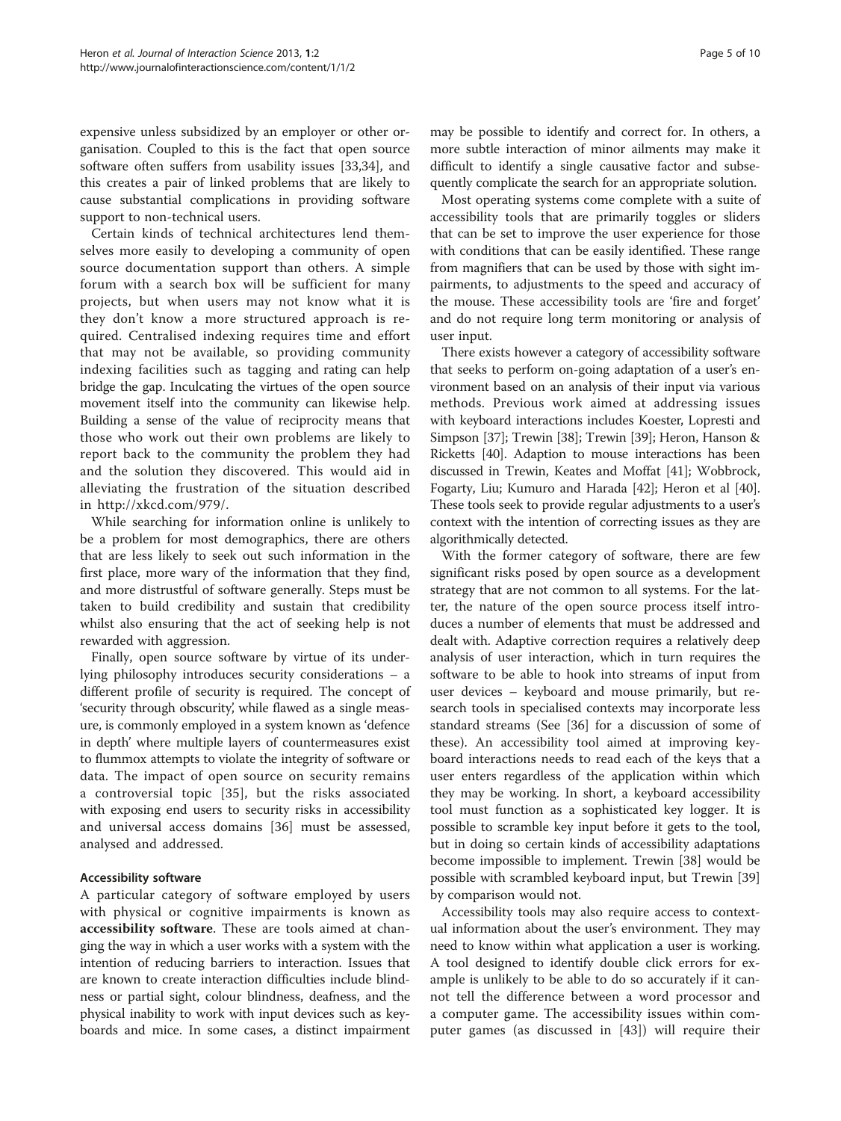expensive unless subsidized by an employer or other organisation. Coupled to this is the fact that open source software often suffers from usability issues [\[33,34\]](#page-9-0), and this creates a pair of linked problems that are likely to cause substantial complications in providing software support to non-technical users.

Certain kinds of technical architectures lend themselves more easily to developing a community of open source documentation support than others. A simple forum with a search box will be sufficient for many projects, but when users may not know what it is they don't know a more structured approach is required. Centralised indexing requires time and effort that may not be available, so providing community indexing facilities such as tagging and rating can help bridge the gap. Inculcating the virtues of the open source movement itself into the community can likewise help. Building a sense of the value of reciprocity means that those who work out their own problems are likely to report back to the community the problem they had and the solution they discovered. This would aid in alleviating the frustration of the situation described in [http://xkcd.com/979/.](http://xkcd.com/979/)

While searching for information online is unlikely to be a problem for most demographics, there are others that are less likely to seek out such information in the first place, more wary of the information that they find, and more distrustful of software generally. Steps must be taken to build credibility and sustain that credibility whilst also ensuring that the act of seeking help is not rewarded with aggression.

Finally, open source software by virtue of its underlying philosophy introduces security considerations – a different profile of security is required. The concept of 'security through obscurity', while flawed as a single measure, is commonly employed in a system known as 'defence in depth' where multiple layers of countermeasures exist to flummox attempts to violate the integrity of software or data. The impact of open source on security remains a controversial topic [[35\]](#page-9-0), but the risks associated with exposing end users to security risks in accessibility and universal access domains [[36\]](#page-9-0) must be assessed, analysed and addressed.

# Accessibility software

A particular category of software employed by users with physical or cognitive impairments is known as accessibility software. These are tools aimed at changing the way in which a user works with a system with the intention of reducing barriers to interaction. Issues that are known to create interaction difficulties include blindness or partial sight, colour blindness, deafness, and the physical inability to work with input devices such as keyboards and mice. In some cases, a distinct impairment may be possible to identify and correct for. In others, a more subtle interaction of minor ailments may make it difficult to identify a single causative factor and subsequently complicate the search for an appropriate solution.

Most operating systems come complete with a suite of accessibility tools that are primarily toggles or sliders that can be set to improve the user experience for those with conditions that can be easily identified. These range from magnifiers that can be used by those with sight impairments, to adjustments to the speed and accuracy of the mouse. These accessibility tools are 'fire and forget' and do not require long term monitoring or analysis of user input.

There exists however a category of accessibility software that seeks to perform on-going adaptation of a user's environment based on an analysis of their input via various methods. Previous work aimed at addressing issues with keyboard interactions includes Koester, Lopresti and Simpson [\[37\]](#page-9-0); Trewin [\[38](#page-9-0)]; Trewin [[39](#page-9-0)]; Heron, Hanson & Ricketts [\[40\]](#page-9-0). Adaption to mouse interactions has been discussed in Trewin, Keates and Moffat [[41\]](#page-9-0); Wobbrock, Fogarty, Liu; Kumuro and Harada [\[42\]](#page-9-0); Heron et al [[40](#page-9-0)]. These tools seek to provide regular adjustments to a user's context with the intention of correcting issues as they are algorithmically detected.

With the former category of software, there are few significant risks posed by open source as a development strategy that are not common to all systems. For the latter, the nature of the open source process itself introduces a number of elements that must be addressed and dealt with. Adaptive correction requires a relatively deep analysis of user interaction, which in turn requires the software to be able to hook into streams of input from user devices – keyboard and mouse primarily, but research tools in specialised contexts may incorporate less standard streams (See [\[36](#page-9-0)] for a discussion of some of these). An accessibility tool aimed at improving keyboard interactions needs to read each of the keys that a user enters regardless of the application within which they may be working. In short, a keyboard accessibility tool must function as a sophisticated key logger. It is possible to scramble key input before it gets to the tool, but in doing so certain kinds of accessibility adaptations become impossible to implement. Trewin [\[38\]](#page-9-0) would be possible with scrambled keyboard input, but Trewin [[39](#page-9-0)] by comparison would not.

Accessibility tools may also require access to contextual information about the user's environment. They may need to know within what application a user is working. A tool designed to identify double click errors for example is unlikely to be able to do so accurately if it cannot tell the difference between a word processor and a computer game. The accessibility issues within computer games (as discussed in [[43\]](#page-9-0)) will require their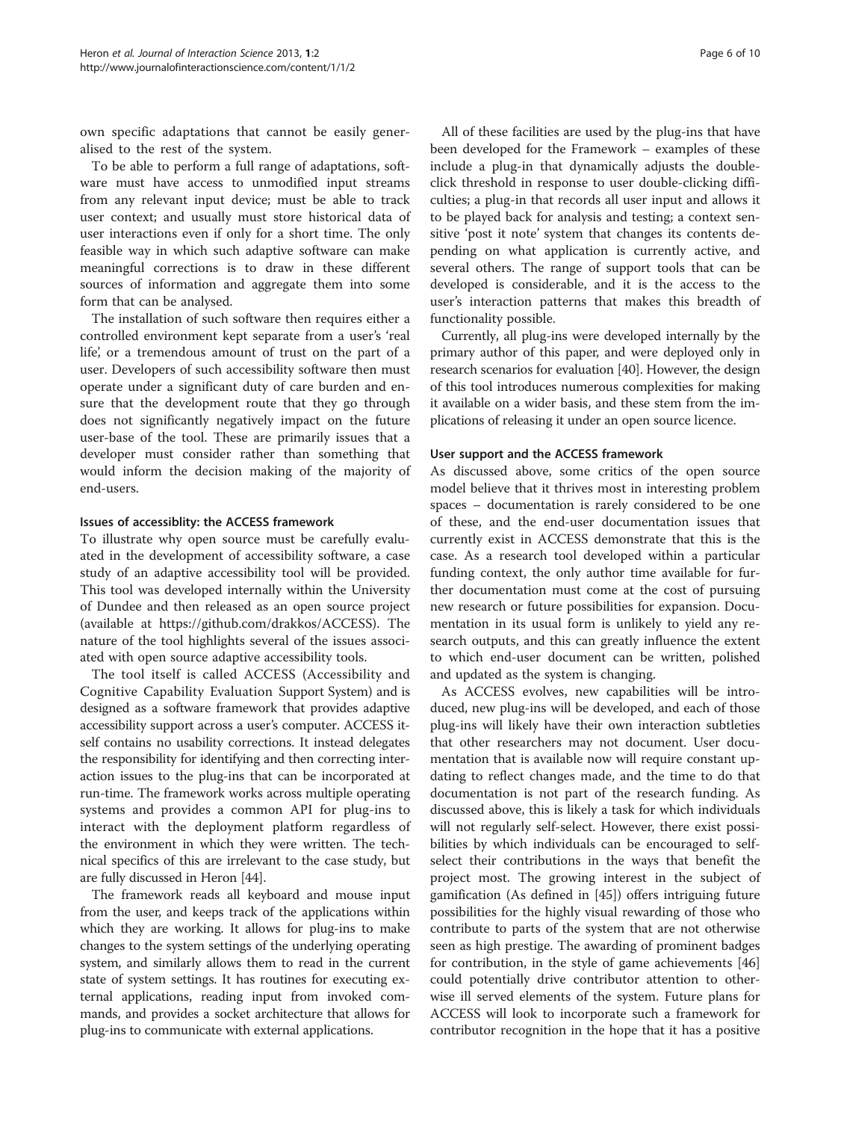own specific adaptations that cannot be easily generalised to the rest of the system.

To be able to perform a full range of adaptations, software must have access to unmodified input streams from any relevant input device; must be able to track user context; and usually must store historical data of user interactions even if only for a short time. The only feasible way in which such adaptive software can make meaningful corrections is to draw in these different sources of information and aggregate them into some form that can be analysed.

The installation of such software then requires either a controlled environment kept separate from a user's 'real life', or a tremendous amount of trust on the part of a user. Developers of such accessibility software then must operate under a significant duty of care burden and ensure that the development route that they go through does not significantly negatively impact on the future user-base of the tool. These are primarily issues that a developer must consider rather than something that would inform the decision making of the majority of end-users.

#### Issues of accessiblity: the ACCESS framework

To illustrate why open source must be carefully evaluated in the development of accessibility software, a case study of an adaptive accessibility tool will be provided. This tool was developed internally within the University of Dundee and then released as an open source project (available at [https://github.com/drakkos/ACCESS\)](https://github.com/drakkos/ACCESS). The nature of the tool highlights several of the issues associated with open source adaptive accessibility tools.

The tool itself is called ACCESS (Accessibility and Cognitive Capability Evaluation Support System) and is designed as a software framework that provides adaptive accessibility support across a user's computer. ACCESS itself contains no usability corrections. It instead delegates the responsibility for identifying and then correcting interaction issues to the plug-ins that can be incorporated at run-time. The framework works across multiple operating systems and provides a common API for plug-ins to interact with the deployment platform regardless of the environment in which they were written. The technical specifics of this are irrelevant to the case study, but are fully discussed in Heron [[44](#page-9-0)].

The framework reads all keyboard and mouse input from the user, and keeps track of the applications within which they are working. It allows for plug-ins to make changes to the system settings of the underlying operating system, and similarly allows them to read in the current state of system settings. It has routines for executing external applications, reading input from invoked commands, and provides a socket architecture that allows for plug-ins to communicate with external applications.

All of these facilities are used by the plug-ins that have been developed for the Framework – examples of these include a plug-in that dynamically adjusts the doubleclick threshold in response to user double-clicking difficulties; a plug-in that records all user input and allows it to be played back for analysis and testing; a context sensitive 'post it note' system that changes its contents depending on what application is currently active, and several others. The range of support tools that can be developed is considerable, and it is the access to the user's interaction patterns that makes this breadth of functionality possible.

Currently, all plug-ins were developed internally by the primary author of this paper, and were deployed only in research scenarios for evaluation [[40](#page-9-0)]. However, the design of this tool introduces numerous complexities for making it available on a wider basis, and these stem from the implications of releasing it under an open source licence.

#### User support and the ACCESS framework

As discussed above, some critics of the open source model believe that it thrives most in interesting problem spaces – documentation is rarely considered to be one of these, and the end-user documentation issues that currently exist in ACCESS demonstrate that this is the case. As a research tool developed within a particular funding context, the only author time available for further documentation must come at the cost of pursuing new research or future possibilities for expansion. Documentation in its usual form is unlikely to yield any research outputs, and this can greatly influence the extent to which end-user document can be written, polished and updated as the system is changing.

As ACCESS evolves, new capabilities will be introduced, new plug-ins will be developed, and each of those plug-ins will likely have their own interaction subtleties that other researchers may not document. User documentation that is available now will require constant updating to reflect changes made, and the time to do that documentation is not part of the research funding. As discussed above, this is likely a task for which individuals will not regularly self-select. However, there exist possibilities by which individuals can be encouraged to selfselect their contributions in the ways that benefit the project most. The growing interest in the subject of gamification (As defined in [\[45](#page-9-0)]) offers intriguing future possibilities for the highly visual rewarding of those who contribute to parts of the system that are not otherwise seen as high prestige. The awarding of prominent badges for contribution, in the style of game achievements [[46](#page-9-0)] could potentially drive contributor attention to otherwise ill served elements of the system. Future plans for ACCESS will look to incorporate such a framework for contributor recognition in the hope that it has a positive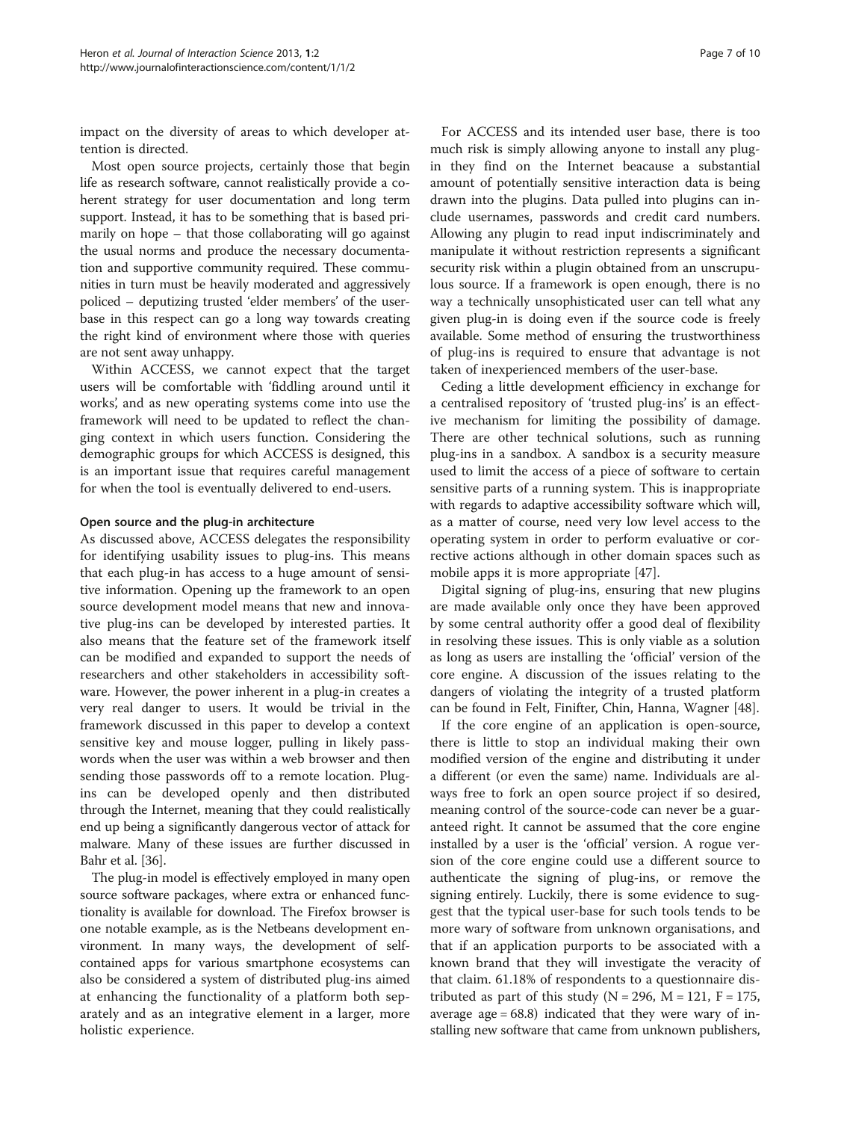impact on the diversity of areas to which developer attention is directed.

Most open source projects, certainly those that begin life as research software, cannot realistically provide a coherent strategy for user documentation and long term support. Instead, it has to be something that is based primarily on hope – that those collaborating will go against the usual norms and produce the necessary documentation and supportive community required. These communities in turn must be heavily moderated and aggressively policed – deputizing trusted 'elder members' of the userbase in this respect can go a long way towards creating the right kind of environment where those with queries are not sent away unhappy.

Within ACCESS, we cannot expect that the target users will be comfortable with 'fiddling around until it works', and as new operating systems come into use the framework will need to be updated to reflect the changing context in which users function. Considering the demographic groups for which ACCESS is designed, this is an important issue that requires careful management for when the tool is eventually delivered to end-users.

#### Open source and the plug-in architecture

As discussed above, ACCESS delegates the responsibility for identifying usability issues to plug-ins. This means that each plug-in has access to a huge amount of sensitive information. Opening up the framework to an open source development model means that new and innovative plug-ins can be developed by interested parties. It also means that the feature set of the framework itself can be modified and expanded to support the needs of researchers and other stakeholders in accessibility software. However, the power inherent in a plug-in creates a very real danger to users. It would be trivial in the framework discussed in this paper to develop a context sensitive key and mouse logger, pulling in likely passwords when the user was within a web browser and then sending those passwords off to a remote location. Plugins can be developed openly and then distributed through the Internet, meaning that they could realistically end up being a significantly dangerous vector of attack for malware. Many of these issues are further discussed in Bahr et al. [[36\]](#page-9-0).

The plug-in model is effectively employed in many open source software packages, where extra or enhanced functionality is available for download. The Firefox browser is one notable example, as is the Netbeans development environment. In many ways, the development of selfcontained apps for various smartphone ecosystems can also be considered a system of distributed plug-ins aimed at enhancing the functionality of a platform both separately and as an integrative element in a larger, more holistic experience.

For ACCESS and its intended user base, there is too much risk is simply allowing anyone to install any plugin they find on the Internet beacause a substantial amount of potentially sensitive interaction data is being drawn into the plugins. Data pulled into plugins can include usernames, passwords and credit card numbers. Allowing any plugin to read input indiscriminately and manipulate it without restriction represents a significant security risk within a plugin obtained from an unscrupulous source. If a framework is open enough, there is no way a technically unsophisticated user can tell what any given plug-in is doing even if the source code is freely available. Some method of ensuring the trustworthiness of plug-ins is required to ensure that advantage is not taken of inexperienced members of the user-base.

Ceding a little development efficiency in exchange for a centralised repository of 'trusted plug-ins' is an effective mechanism for limiting the possibility of damage. There are other technical solutions, such as running plug-ins in a sandbox. A sandbox is a security measure used to limit the access of a piece of software to certain sensitive parts of a running system. This is inappropriate with regards to adaptive accessibility software which will, as a matter of course, need very low level access to the operating system in order to perform evaluative or corrective actions although in other domain spaces such as mobile apps it is more appropriate [[47](#page-9-0)].

Digital signing of plug-ins, ensuring that new plugins are made available only once they have been approved by some central authority offer a good deal of flexibility in resolving these issues. This is only viable as a solution as long as users are installing the 'official' version of the core engine. A discussion of the issues relating to the dangers of violating the integrity of a trusted platform can be found in Felt, Finifter, Chin, Hanna, Wagner [[48\]](#page-9-0).

If the core engine of an application is open-source, there is little to stop an individual making their own modified version of the engine and distributing it under a different (or even the same) name. Individuals are always free to fork an open source project if so desired, meaning control of the source-code can never be a guaranteed right. It cannot be assumed that the core engine installed by a user is the 'official' version. A rogue version of the core engine could use a different source to authenticate the signing of plug-ins, or remove the signing entirely. Luckily, there is some evidence to suggest that the typical user-base for such tools tends to be more wary of software from unknown organisations, and that if an application purports to be associated with a known brand that they will investigate the veracity of that claim. 61.18% of respondents to a questionnaire distributed as part of this study ( $N = 296$ ,  $M = 121$ ,  $F = 175$ , average  $age = 68.8$ ) indicated that they were wary of installing new software that came from unknown publishers,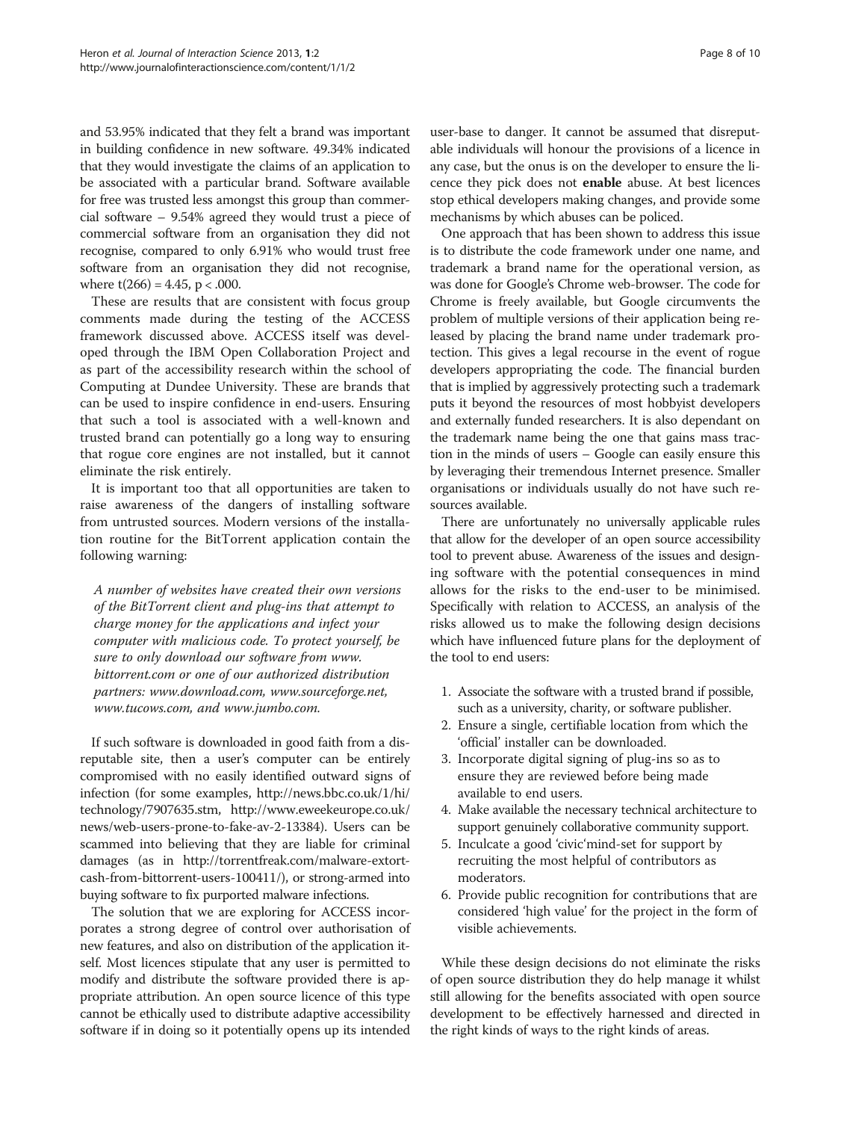and 53.95% indicated that they felt a brand was important in building confidence in new software. 49.34% indicated that they would investigate the claims of an application to be associated with a particular brand. Software available for free was trusted less amongst this group than commercial software – 9.54% agreed they would trust a piece of commercial software from an organisation they did not recognise, compared to only 6.91% who would trust free software from an organisation they did not recognise, where  $t(266) = 4.45$ ,  $p < .000$ .

These are results that are consistent with focus group comments made during the testing of the ACCESS framework discussed above. ACCESS itself was developed through the IBM Open Collaboration Project and as part of the accessibility research within the school of Computing at Dundee University. These are brands that can be used to inspire confidence in end-users. Ensuring that such a tool is associated with a well-known and trusted brand can potentially go a long way to ensuring that rogue core engines are not installed, but it cannot eliminate the risk entirely.

It is important too that all opportunities are taken to raise awareness of the dangers of installing software from untrusted sources. Modern versions of the installation routine for the BitTorrent application contain the following warning:

A number of websites have created their own versions of the BitTorrent client and plug-ins that attempt to charge money for the applications and infect your computer with malicious code. To protect yourself, be sure to only download our software from [www.](http://www.bittorrent.com) [bittorrent.com](http://www.bittorrent.com) or one of our authorized distribution partners: [www.download.com](http://www.download.com), [www.sourceforge.net,](http://www.sourceforge.net) [www.tucows.com,](http://www.tucows.com) and [www.jumbo.com](http://www.jumbo.com).

If such software is downloaded in good faith from a disreputable site, then a user's computer can be entirely compromised with no easily identified outward signs of infection (for some examples, [http://news.bbc.co.uk/1/hi/](http://news.bbc.co.uk/1/hi/technology/7907635.stm) [technology/7907635.stm,](http://news.bbc.co.uk/1/hi/technology/7907635.stm) [http://www.eweekeurope.co.uk/](http://www.eweekeurope.co.uk/news/web-users-prone-to-fake-av-2-13384) [news/web-users-prone-to-fake-av-2-13384\)](http://www.eweekeurope.co.uk/news/web-users-prone-to-fake-av-2-13384). Users can be scammed into believing that they are liable for criminal damages (as in [http://torrentfreak.com/malware-extort](http://torrentfreak.com/malware-extort-cash-from-bittorrent-users-100411/)[cash-from-bittorrent-users-100411/](http://torrentfreak.com/malware-extort-cash-from-bittorrent-users-100411/)), or strong-armed into buying software to fix purported malware infections.

The solution that we are exploring for ACCESS incorporates a strong degree of control over authorisation of new features, and also on distribution of the application itself. Most licences stipulate that any user is permitted to modify and distribute the software provided there is appropriate attribution. An open source licence of this type cannot be ethically used to distribute adaptive accessibility software if in doing so it potentially opens up its intended user-base to danger. It cannot be assumed that disreputable individuals will honour the provisions of a licence in any case, but the onus is on the developer to ensure the licence they pick does not enable abuse. At best licences stop ethical developers making changes, and provide some mechanisms by which abuses can be policed.

One approach that has been shown to address this issue is to distribute the code framework under one name, and trademark a brand name for the operational version, as was done for Google's Chrome web-browser. The code for Chrome is freely available, but Google circumvents the problem of multiple versions of their application being released by placing the brand name under trademark protection. This gives a legal recourse in the event of rogue developers appropriating the code. The financial burden that is implied by aggressively protecting such a trademark puts it beyond the resources of most hobbyist developers and externally funded researchers. It is also dependant on the trademark name being the one that gains mass traction in the minds of users – Google can easily ensure this by leveraging their tremendous Internet presence. Smaller organisations or individuals usually do not have such resources available.

There are unfortunately no universally applicable rules that allow for the developer of an open source accessibility tool to prevent abuse. Awareness of the issues and designing software with the potential consequences in mind allows for the risks to the end-user to be minimised. Specifically with relation to ACCESS, an analysis of the risks allowed us to make the following design decisions which have influenced future plans for the deployment of the tool to end users:

- 1. Associate the software with a trusted brand if possible, such as a university, charity, or software publisher.
- 2. Ensure a single, certifiable location from which the 'official' installer can be downloaded.
- 3. Incorporate digital signing of plug-ins so as to ensure they are reviewed before being made available to end users.
- 4. Make available the necessary technical architecture to support genuinely collaborative community support.
- 5. Inculcate a good 'civic'mind-set for support by recruiting the most helpful of contributors as moderators.
- 6. Provide public recognition for contributions that are considered 'high value' for the project in the form of visible achievements.

While these design decisions do not eliminate the risks of open source distribution they do help manage it whilst still allowing for the benefits associated with open source development to be effectively harnessed and directed in the right kinds of ways to the right kinds of areas.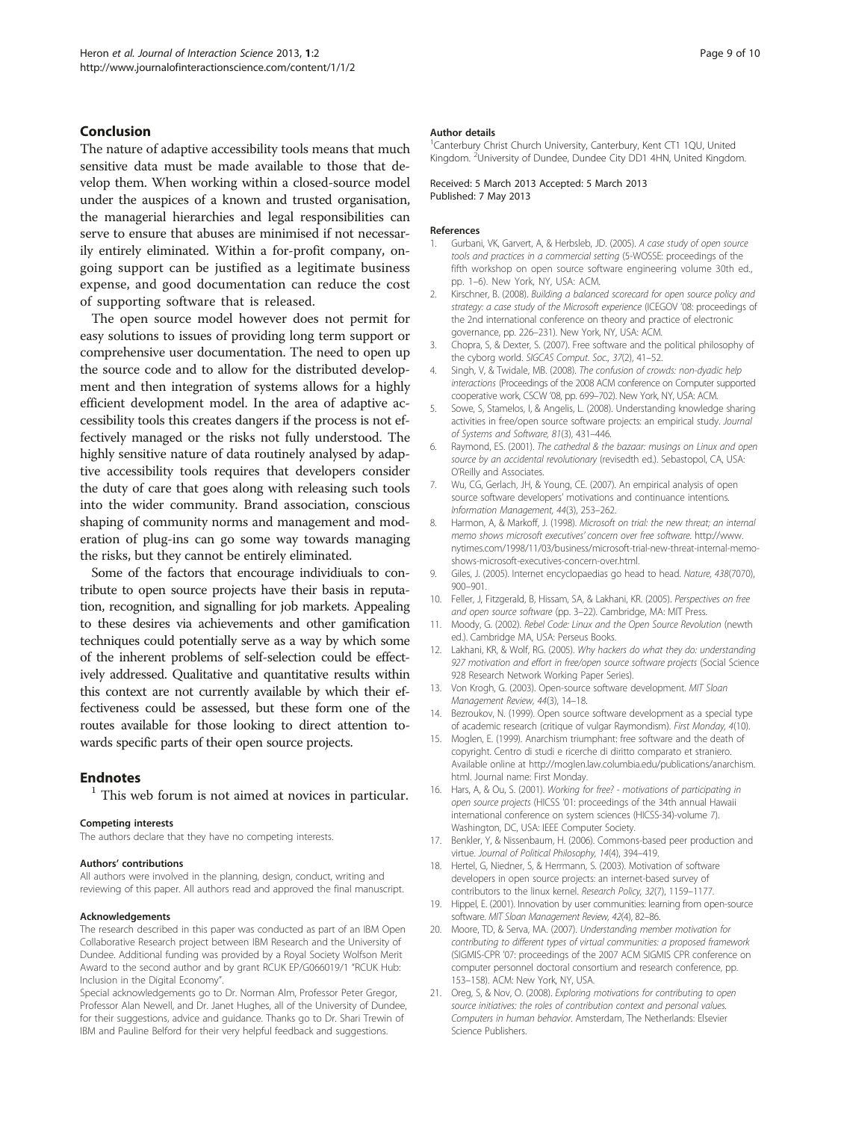# <span id="page-8-0"></span>Conclusion

The nature of adaptive accessibility tools means that much sensitive data must be made available to those that develop them. When working within a closed-source model under the auspices of a known and trusted organisation, the managerial hierarchies and legal responsibilities can serve to ensure that abuses are minimised if not necessarily entirely eliminated. Within a for-profit company, ongoing support can be justified as a legitimate business expense, and good documentation can reduce the cost of supporting software that is released.

The open source model however does not permit for easy solutions to issues of providing long term support or comprehensive user documentation. The need to open up the source code and to allow for the distributed development and then integration of systems allows for a highly efficient development model. In the area of adaptive accessibility tools this creates dangers if the process is not effectively managed or the risks not fully understood. The highly sensitive nature of data routinely analysed by adaptive accessibility tools requires that developers consider the duty of care that goes along with releasing such tools into the wider community. Brand association, conscious shaping of community norms and management and moderation of plug-ins can go some way towards managing the risks, but they cannot be entirely eliminated.

Some of the factors that encourage individiuals to contribute to open source projects have their basis in reputation, recognition, and signalling for job markets. Appealing to these desires via achievements and other gamification techniques could potentially serve as a way by which some of the inherent problems of self-selection could be effectively addressed. Qualitative and quantitative results within this context are not currently available by which their effectiveness could be assessed, but these form one of the routes available for those looking to direct attention towards specific parts of their open source projects.

#### Endnotes

 $1$  This web forum is not aimed at novices in particular.

#### Competing interests

The authors declare that they have no competing interests.

#### Authors' contributions

All authors were involved in the planning, design, conduct, writing and reviewing of this paper. All authors read and approved the final manuscript.

#### Acknowledgements

The research described in this paper was conducted as part of an IBM Open Collaborative Research project between IBM Research and the University of Dundee. Additional funding was provided by a Royal Society Wolfson Merit Award to the second author and by grant RCUK EP/G066019/1 "RCUK Hub: Inclusion in the Digital Economy".

Special acknowledgements go to Dr. Norman Alm, Professor Peter Gregor, Professor Alan Newell, and Dr. Janet Hughes, all of the University of Dundee, for their suggestions, advice and guidance. Thanks go to Dr. Shari Trewin of IBM and Pauline Belford for their very helpful feedback and suggestions.

#### Author details

<sup>1</sup> Canterbury Christ Church University, Canterbury, Kent CT1 1QU, United Kingdom. <sup>2</sup>University of Dundee, Dundee City DD1 4HN, United Kingdom.

#### Received: 5 March 2013 Accepted: 5 March 2013 Published: 7 May 2013

#### References

- 1. Gurbani, VK, Garvert, A, & Herbsleb, JD. (2005). A case study of open source tools and practices in a commercial setting (5-WOSSE: proceedings of the fifth workshop on open source software engineering volume 30th ed., pp. 1–6). New York, NY, USA: ACM.
- 2. Kirschner, B. (2008). Building a balanced scorecard for open source policy and strategy: a case study of the Microsoft experience (ICEGOV '08: proceedings of the 2nd international conference on theory and practice of electronic governance, pp. 226–231). New York, NY, USA: ACM.
- 3. Chopra, S, & Dexter, S. (2007). Free software and the political philosophy of the cyborg world. SIGCAS Comput. Soc., 37(2), 41-52.
- 4. Singh, V, & Twidale, MB. (2008). The confusion of crowds: non-dyadic help interactions (Proceedings of the 2008 ACM conference on Computer supported cooperative work, CSCW '08, pp. 699–702). New York, NY, USA: ACM.
- 5. Sowe, S, Stamelos, I, & Angelis, L. (2008). Understanding knowledge sharing activities in free/open source software projects: an empirical study. Journal of Systems and Software, 81(3), 431–446.
- 6. Raymond, ES. (2001). The cathedral & the bazaar: musings on Linux and open source by an accidental revolutionary (revisedth ed.). Sebastopol, CA, USA: O'Reilly and Associates.
- 7. Wu, CG, Gerlach, JH, & Young, CE. (2007). An empirical analysis of open source software developers' motivations and continuance intentions. Information Management, 44(3), 253–262.
- 8. Harmon, A, & Markoff, J. (1998). Microsoft on trial: the new threat; an internal memo shows microsoft executives' concern over free software. [http://www.](http://www.nytimes.com/1998/11/03/business/microsoft-trial-new-threat-internal-memo-shows-microsoft-executives-concern-over.html) [nytimes.com/1998/11/03/business/microsoft-trial-new-threat-internal-memo](http://www.nytimes.com/1998/11/03/business/microsoft-trial-new-threat-internal-memo-shows-microsoft-executives-concern-over.html)[shows-microsoft-executives-concern-over.html.](http://www.nytimes.com/1998/11/03/business/microsoft-trial-new-threat-internal-memo-shows-microsoft-executives-concern-over.html)
- 9. Giles, J. (2005). Internet encyclopaedias go head to head. Nature, 438(7070), 900–901.
- 10. Feller, J, Fitzgerald, B, Hissam, SA, & Lakhani, KR. (2005). Perspectives on free and open source software (pp. 3–22). Cambridge, MA: MIT Press.
- 11. Moody, G. (2002). Rebel Code: Linux and the Open Source Revolution (newth ed.). Cambridge MA, USA: Perseus Books.
- 12. Lakhani, KR, & Wolf, RG. (2005). Why hackers do what they do: understanding 927 motivation and effort in free/open source software projects (Social Science 928 Research Network Working Paper Series).
- 13. Von Krogh, G. (2003). Open-source software development. MIT Sloan Management Review, 44(3), 14–18.
- 14. Bezroukov, N. (1999). Open source software development as a special type of academic research (critique of vulgar Raymondism). First Monday, 4(10).
- 15. Moglen, E. (1999). Anarchism triumphant: free software and the death of copyright. Centro di studi e ricerche di diritto comparato et straniero. Available online at [http://moglen.law.columbia.edu/publications/anarchism.](http://moglen.law.columbia.edu/publications/anarchism.html) [html.](http://moglen.law.columbia.edu/publications/anarchism.html) Journal name: First Monday.
- 16. Hars, A, & Ou, S. (2001). Working for free? motivations of participating in open source projects (HICSS '01: proceedings of the 34th annual Hawaii international conference on system sciences (HICSS-34)-volume 7). Washington, DC, USA: IEEE Computer Society.
- 17. Benkler, Y, & Nissenbaum, H. (2006). Commons-based peer production and virtue. Journal of Political Philosophy, 14(4), 394–419.
- 18. Hertel, G, Niedner, S, & Herrmann, S. (2003). Motivation of software developers in open source projects: an internet-based survey of contributors to the linux kernel. Research Policy, 32(7), 1159–1177.
- 19. Hippel, E. (2001). Innovation by user communities: learning from open-source software. MIT Sloan Management Review, 42(4), 82–86.
- 20. Moore, TD, & Serva, MA. (2007). Understanding member motivation for contributing to different types of virtual communities: a proposed framework (SIGMIS-CPR '07: proceedings of the 2007 ACM SIGMIS CPR conference on computer personnel doctoral consortium and research conference, pp. 153–158). ACM: New York, NY, USA.
- 21. Oreg, S, & Nov, O. (2008). Exploring motivations for contributing to open source initiatives: the roles of contribution context and personal values. Computers in human behavior. Amsterdam, The Netherlands: Elsevier Science Publishers.